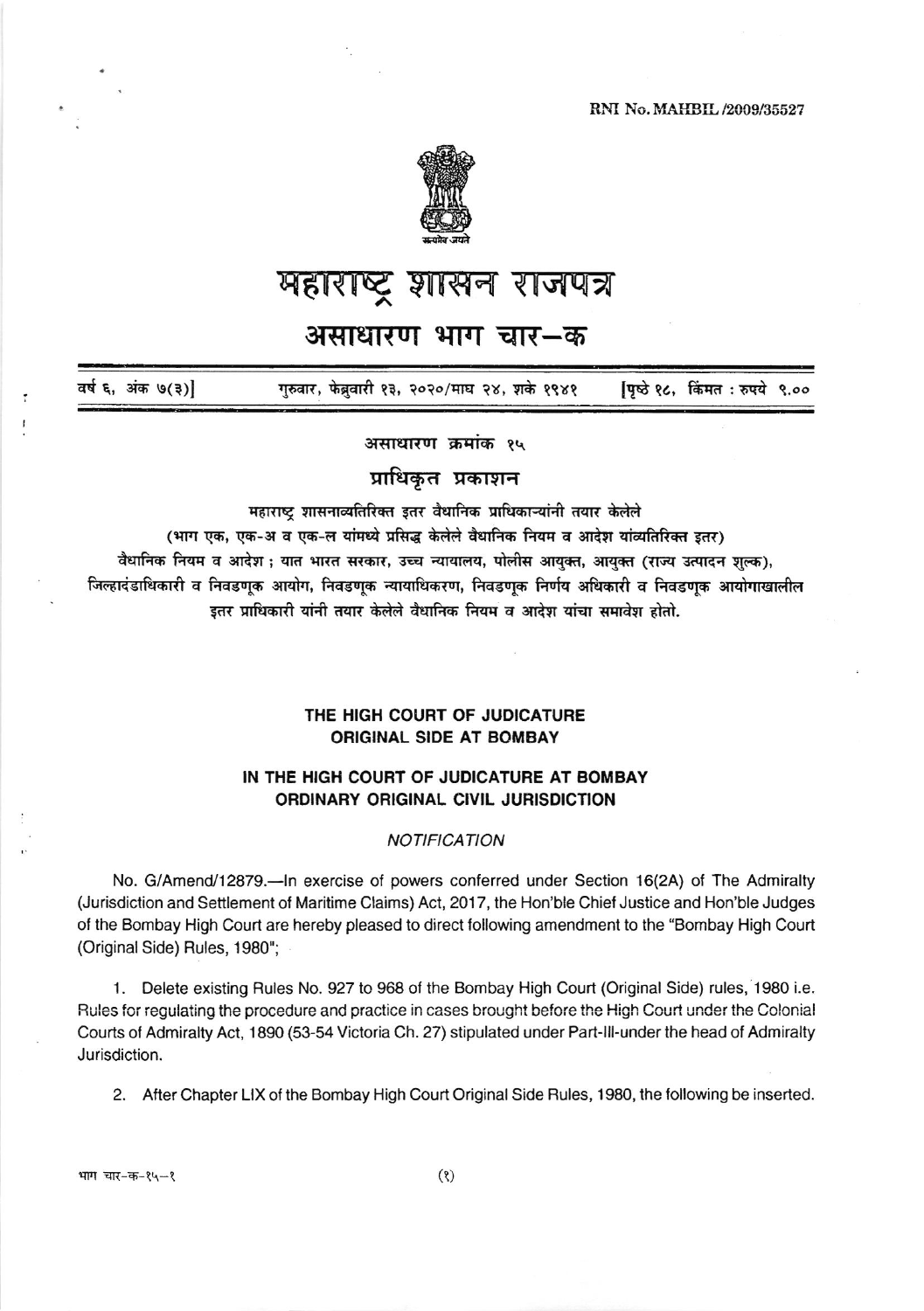RNI No. MAHBIL /2009/35527



# महाराष्ट्र शासन राजपत्र

## असाधारण भाग चार—क

वर्ष ६, अंक ७(३)] गुरुवार, फेब्रुवारी १३, २०२०/माघ २४, शके १९४१ पिष्ठे १८, किंमत : रुपये ९.००

असाधारण क्रमांक १५

## प्राधिकृत प्रकाशन

महाराष्ट्र शासनाव्यतिरिक्त इतर वैधानिक प्राधिकाऱ्यांनी तयार केलेले

(भाग एक, एक-अ व एक-ल यांमध्ये प्रसिद्ध केलेले वैधानिक नियम व आदेश यांव्यतिरिक्त इतर)

वैधानिक नियम व आदेश ; यात भारत सरकार, उच्च न्यायालय, पोलीस आयुक्त, आयुक्त (राज्य उत्पादन शुल्क), जिल्हादंडाधिकारी व निवडणूक आयोग, निवडणूक न्यायाधिकरण, निवडणुक निर्णय अधिकारी व निवडणुक आयोगाखालील इतर प्राधिकारी यांनी तयार केलेले वैधानिक नियम व आदेश यांचा समावेश होतो.

### THE HIGH COURT OF JUDICATURE **ORIGINAL SIDE AT BOMBAY**

#### IN THE HIGH COURT OF JUDICATURE AT BOMBAY ORDINARY ORIGINAL CIVIL JURISDICTION

#### **NOTIFICATION**

No. G/Amend/12879.—In exercise of powers conferred under Section 16(2A) of The Admiralty (Jurisdiction and Settlement of Maritime Claims) Act, 2017, the Hon'ble Chief Justice and Hon'ble Judges of the Bombay High Court are hereby pleased to direct following amendment to the "Bombay High Court (Original Side) Rules, 1980";

1. Delete existing Rules No. 927 to 968 of the Bombay High Court (Original Side) rules, 1980 i.e. Rules for regulating the procedure and practice in cases brought before the High Court under the Colonial Courts of Admiralty Act, 1890 (53-54 Victoria Ch. 27) stipulated under Part-Ill-under the head of Admiralty Jurisdiction.

2. After Chapter LIX of the Bombay High Court Original Side Rules, 1980, the following be inserted.

भाग चार-क-१५-१